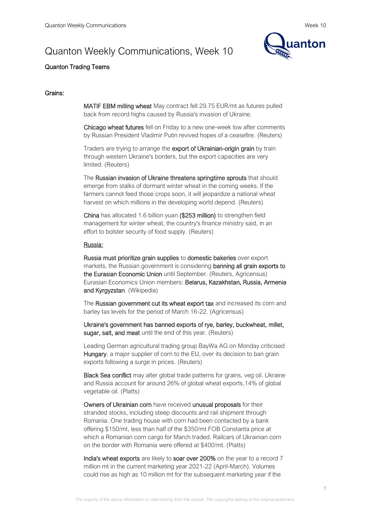# Quanton Weekly Communications, Week 10



# Quanton Trading Teams

### Grains:

MATIF EBM milling wheat May contract fell 29.75 EUR/mt as futures pulled back from record highs caused by Russia's invasion of Ukraine.

Chicago wheat futures fell on Friday to a new one-week low after comments by Russian President Vladimir Putin revived hopes of a ceasefire. (Reuters)

Traders are trying to arrange the export of Ukrainian-origin grain by train through western Ukraine's borders, but the export capacities are very limited. (Reuters)

The Russian invasion of Ukraine threatens springtime sprouts that should emerge from stalks of dormant winter wheat in the coming weeks. If the farmers cannot feed those crops soon, it will jeopardize a national wheat harvest on which millions in the developing world depend. (Reuters)

China has allocated 1.6 billion yuan (\$253 million) to strengthen field management for winter wheat, the country's finance ministry said, in an effort to bolster security of food supply. (Reuters)

#### Russia:

Russia must prioritize grain supplies to domestic bakeries over export markets, the Russian government is considering banning all grain exports to the Eurasian Economic Union until September. (Reuters, Agricensus) Eurasian Economics Union members: Belarus, Kazakhstan, Russia, Armenia and Kyrgyzstan. (Wikipedia)

The Russian government cut its wheat export tax and increased its corn and barley tax levels for the period of March 16-22. (Agricensus)

Ukraine's government has banned exports of rye, barley, buckwheat, millet, sugar, salt, and meat until the end of this year. (Reuters)

Leading German agricultural trading group BayWa AG on Monday criticised Hungary, a major supplier of corn to the EU, over its decision to ban grain exports following a surge in prices. (Reuters)

Black Sea conflict may alter global trade patterns for grains, veg oil. Ukraine and Russia account for around 26% of global wheat exports,14% of global vegetable oil. (Platts)

Owners of Ukrainian corn have received unusual proposals for their stranded stocks, including steep discounts and rail shipment through Romania. One trading house with corn had been contacted by a bank offering \$150/mt, less than half of the \$350/mt FOB Constanta price at which a Romanian corn cargo for March traded. Railcars of Ukrainian corn on the border with Romania were offered at \$400/mt. (Platts)

India's wheat exports are likely to soar over 200% on the year to a record 7 million mt in the current marketing year 2021-22 (April-March). Volumes could rise as high as 10 million mt for the subsequent marketing year if the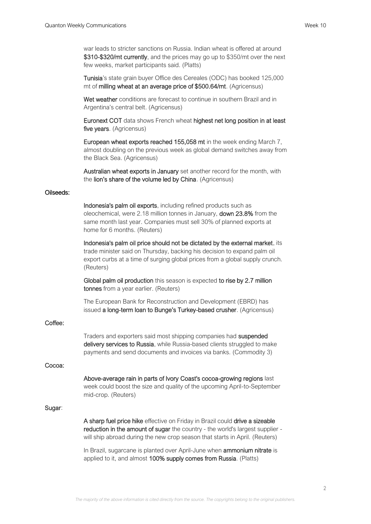war leads to stricter sanctions on Russia. Indian wheat is offered at around \$310-\$320/mt currently, and the prices may go up to \$350/mt over the next few weeks, market participants said. (Platts)

Tunisia's state grain buyer Office des Cereales (ODC) has booked 125,000 mt of milling wheat at an average price of \$500.64/mt. (Agricensus)

Wet weather conditions are forecast to continue in southern Brazil and in Argentina's central belt. (Agricensus)

Euronext COT data shows French wheat highest net long position in at least five years. (Agricensus)

European wheat exports reached 155,058 mt in the week ending March 7, almost doubling on the previous week as global demand switches away from the Black Sea. (Agricensus)

Australian wheat exports in January set another record for the month, with the lion's share of the volume led by China. (Agricensus)

#### Oilseeds:

Indonesia's palm oil exports, including refined products such as oleochemical, were 2.18 million tonnes in January, down 23.8% from the same month last year. Companies must sell 30% of planned exports at home for 6 months. (Reuters)

Indonesia's palm oil price should not be dictated by the external market, its trade minister said on Thursday, backing his decision to expand palm oil export curbs at a time of surging global prices from a global supply crunch. (Reuters)

Global palm oil production this season is expected to rise by 2.7 million tonnes from a year earlier. (Reuters)

The European Bank for Reconstruction and Development (EBRD) has issued a long-term loan to Bunge's Turkey-based crusher. (Agricensus)

### Coffee:

Traders and exporters said most shipping companies had suspended delivery services to Russia, while Russia-based clients struggled to make payments and send documents and invoices via banks. (Commodity 3)

### Cocoa:

Above-average rain in parts of Ivory Coast's cocoa-growing regions last week could boost the size and quality of the upcoming April-to-September mid-crop. (Reuters)

# Sugar:

A sharp fuel price hike effective on Friday in Brazil could drive a sizeable reduction in the amount of sugar the country - the world's largest supplier will ship abroad during the new crop season that starts in April. (Reuters)

In Brazil, sugarcane is planted over April-June when **ammonium nitrate** is applied to it, and almost 100% supply comes from Russia. (Platts)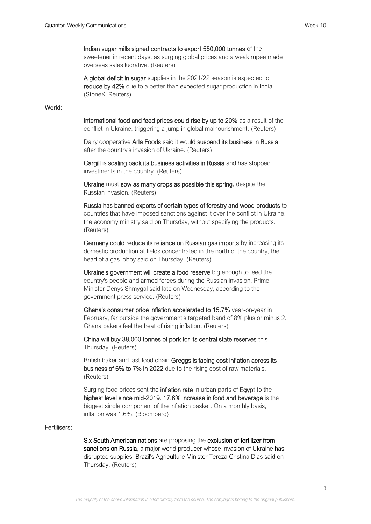# Indian sugar mills signed contracts to export 550,000 tonnes of the

sweetener in recent days, as surging global prices and a weak rupee made overseas sales lucrative. (Reuters)

A global deficit in sugar supplies in the 2021/22 season is expected to reduce by 42% due to a better than expected sugar production in India. (StoneX, Reuters)

# World:

International food and feed prices could rise by up to 20% as a result of the conflict in Ukraine, triggering a jump in global malnourishment. (Reuters)

Dairy cooperative Arla Foods said it would suspend its business in Russia after the country's invasion of Ukraine. (Reuters)

Cargill is scaling back its business activities in Russia and has stopped investments in the country. (Reuters)

Ukraine must sow as many crops as possible this spring, despite the Russian invasion. (Reuters)

Russia has banned exports of certain types of forestry and wood products to countries that have imposed sanctions against it over the conflict in Ukraine, the economy ministry said on Thursday, without specifying the products. (Reuters)

Germany could reduce its reliance on Russian gas imports by increasing its domestic production at fields concentrated in the north of the country, the head of a gas lobby said on Thursday. (Reuters)

Ukraine's government will create a food reserve big enough to feed the country's people and armed forces during the Russian invasion, Prime Minister Denys Shmygal said late on Wednesday, according to the government press service. (Reuters)

Ghana's consumer price inflation accelerated to 15.7% year-on-year in February, far outside the government's targeted band of 8% plus or minus 2. Ghana bakers feel the heat of rising inflation. (Reuters)

China will buy 38,000 tonnes of pork for its central state reserves this Thursday. (Reuters)

British baker and fast food chain Greggs is facing cost inflation across its business of 6% to 7% in 2022 due to the rising cost of raw materials. (Reuters)

Surging food prices sent the **inflation rate** in urban parts of **Egypt** to the highest level since mid-2019. 17.6% increase in food and beverage is the biggest single component of the inflation basket. On a monthly basis, inflation was 1.6%. (Bloomberg)

#### Fertilisers:

Six South American nations are proposing the exclusion of fertilizer from sanctions on Russia, a major world producer whose invasion of Ukraine has disrupted supplies, Brazil's Agriculture Minister Tereza Cristina Dias said on Thursday. (Reuters)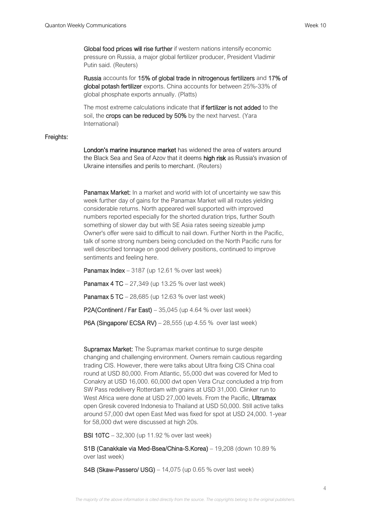Global food prices will rise further if western nations intensify economic pressure on Russia, a major global fertilizer producer, President Vladimir Putin said. (Reuters)

Russia accounts for 15% of global trade in nitrogenous fertilizers and 17% of global potash fertilizer exports. China accounts for between 25%-33% of global phosphate exports annually. (Platts)

The most extreme calculations indicate that if fertilizer is not added to the soil, the crops can be reduced by 50% by the next harvest. (Yara International)

# Freights:

London's marine insurance market has widened the area of waters around the Black Sea and Sea of Azov that it deems high risk as Russia's invasion of Ukraine intensifies and perils to merchant. (Reuters)

Panamax Market: In a market and world with lot of uncertainty we saw this week further day of gains for the Panamax Market will all routes yielding considerable returns. North appeared well supported with improved numbers reported especially for the shorted duration trips, further South something of slower day but with SE Asia rates seeing sizeable jump Owner's offer were said to difficult to nail down. Further North in the Pacific, talk of some strong numbers being concluded on the North Pacific runs for well described tonnage on good delivery positions, continued to improve sentiments and feeling here.

Panamax Index – 3187 (up 12.61 % over last week)

Panamax 4 TC – 27,349 (up 13.25 % over last week)

**Panamax 5 TC** – 28,685 (up 12.63 % over last week)

P2A(Continent / Far East) – 35,045 (up 4.64 % over last week)

**P6A (Singapore/ ECSA RV)** – 28,555 (up 4.55 % over last week)

Supramax Market: The Supramax market continue to surge despite changing and challenging environment. Owners remain cautious regarding trading CIS. However, there were talks about Ultra fixing CIS China coal round at USD 80,000. From Atlantic, 55,000 dwt was covered for Med to Conakry at USD 16,000. 60,000 dwt open Vera Cruz concluded a trip from SW Pass redelivery Rotterdam with grains at USD 31,000. Clinker run to West Africa were done at USD 27,000 levels. From the Pacific, Ultramax open Gresik covered Indonesia to Thailand at USD 50,000. Still active talks around 57,000 dwt open East Med was fixed for spot at USD 24,000. 1-year for 58,000 dwt were discussed at high 20s.

BSI 10TC – 32,300 (up 11.92 % over last week)

S1B (Canakkale via Med-Bsea/China-S.Korea) – 19,208 (down 10.89 % over last week)

S4B (Skaw-Passero/ USG) – 14,075 (up 0.65 % over last week)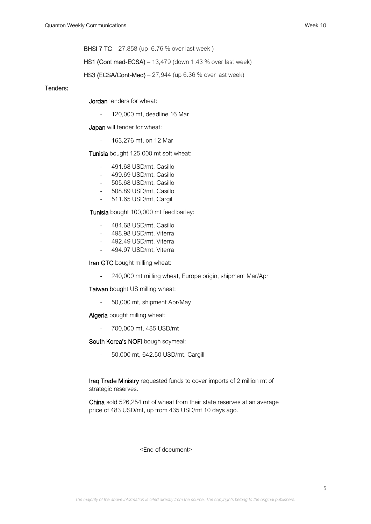BHSI 7 TC – 27,858 (up 6.76 % over last week )

HS1 (Cont med-ECSA) – 13,479 (down 1.43 % over last week)

HS3 (ECSA/Cont-Med) – 27,944 (up 6.36 % over last week)

# Tenders:

Jordan tenders for wheat:

- 120,000 mt, deadline 16 Mar

Japan will tender for wheat:

- 163,276 mt, on 12 Mar

Tunisia bought 125,000 mt soft wheat:

- 491.68 USD/mt, Casillo
- 499.69 USD/mt, Casillo
- 505.68 USD/mt, Casillo
- 508.89 USD/mt, Casillo
- 511.65 USD/mt, Cargill

Tunisia bought 100,000 mt feed barley:

- 484.68 USD/mt, Casillo
- 498.98 USD/mt, Viterra
- 492.49 USD/mt, Viterra
- 494.97 USD/mt, Viterra

Iran GTC bought milling wheat:

- 240,000 mt milling wheat, Europe origin, shipment Mar/Apr

Taiwan bought US milling wheat:

- 50,000 mt, shipment Apr/May

Algeria bought milling wheat:

- 700,000 mt, 485 USD/mt

South Korea's NOFI bough soymeal:

- 50,000 mt, 642.50 USD/mt, Cargill

Iraq Trade Ministry requested funds to cover imports of 2 million mt of strategic reserves.

China sold 526,254 mt of wheat from their state reserves at an average price of 483 USD/mt, up from 435 USD/mt 10 days ago.

<End of document>